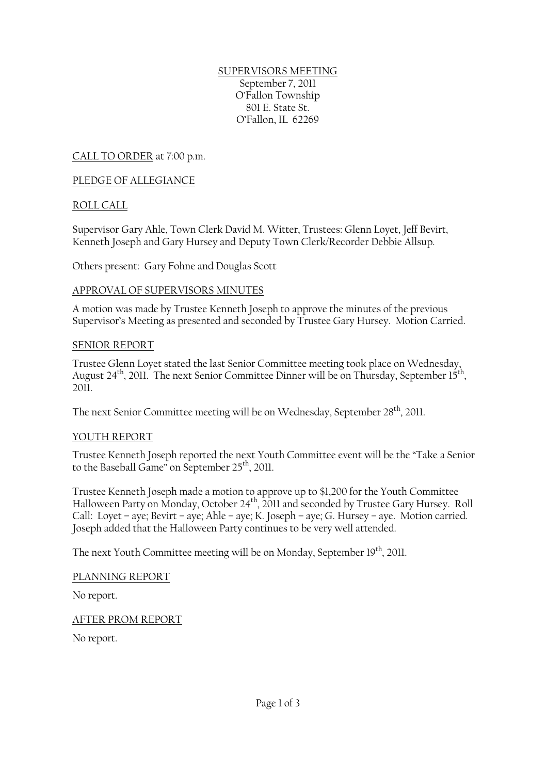### SUPERVISORS MEETING September 7, 2011 O'Fallon Township 801 E. State St. O'Fallon, IL 62269

CALL TO ORDER at 7:00 p.m.

### PLEDGE OF ALLEGIANCE

### ROLL CALL

Supervisor Gary Ahle, Town Clerk David M. Witter, Trustees: Glenn Loyet, Jeff Bevirt, Kenneth Joseph and Gary Hursey and Deputy Town Clerk/Recorder Debbie Allsup.

Others present: Gary Fohne and Douglas Scott

#### APPROVAL OF SUPERVISORS MINUTES

A motion was made by Trustee Kenneth Joseph to approve the minutes of the previous Supervisor's Meeting as presented and seconded by Trustee Gary Hursey. Motion Carried.

#### SENIOR REPORT

Trustee Glenn Loyet stated the last Senior Committee meeting took place on Wednesday, August 24<sup>th</sup>, 2011. The next Senior Committee Dinner will be on Thursday, September 15<sup>th</sup>, 2011.

The next Senior Committee meeting will be on Wednesday, September 28<sup>th</sup>, 2011.

#### YOUTH REPORT

Trustee Kenneth Joseph reported the next Youth Committee event will be the "Take a Senior to the Baseball Game" on September 25<sup>th</sup>, 2011.

Trustee Kenneth Joseph made a motion to approve up to \$1,200 for the Youth Committee Halloween Party on Monday, October 24<sup>th</sup>, 2011 and seconded by Trustee Gary Hursey. Roll Call: Loyet – aye; Bevirt – aye; Ahle – aye; K. Joseph – aye; G. Hursey – aye. Motion carried. Joseph added that the Halloween Party continues to be very well attended.

The next Youth Committee meeting will be on Monday, September 19<sup>th</sup>, 2011.

#### PLANNING REPORT

No report.

AFTER PROM REPORT

No report.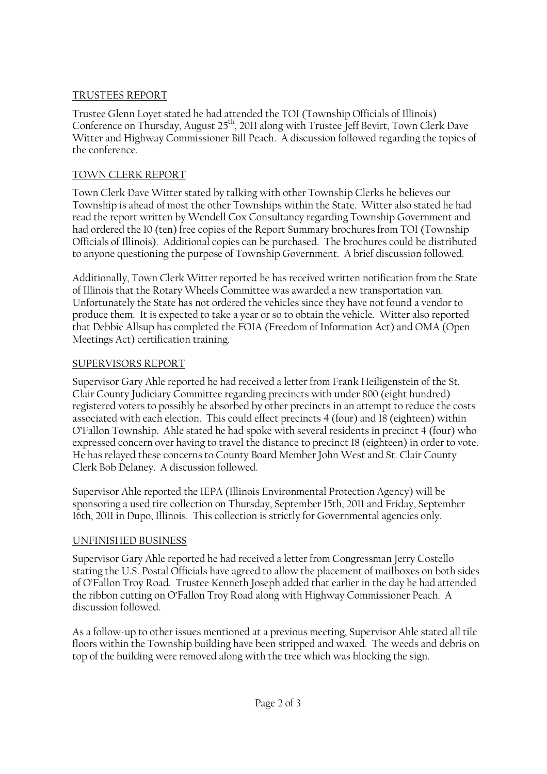## TRUSTEES REPORT

Trustee Glenn Loyet stated he had attended the TOI (Township Officials of Illinois) Conference on Thursday, August 25<sup>th</sup>, 2011 along with Trustee Jeff Bevirt, Town Clerk Dave Witter and Highway Commissioner Bill Peach. A discussion followed regarding the topics of the conference.

## TOWN CLERK REPORT

Town Clerk Dave Witter stated by talking with other Township Clerks he believes our Township is ahead of most the other Townships within the State. Witter also stated he had read the report written by Wendell Cox Consultancy regarding Township Government and had ordered the 10 (ten) free copies of the Report Summary brochures from TOI (Township Officials of Illinois). Additional copies can be purchased. The brochures could be distributed to anyone questioning the purpose of Township Government. A brief discussion followed.

Additionally, Town Clerk Witter reported he has received written notification from the State of Illinois that the Rotary Wheels Committee was awarded a new transportation van. Unfortunately the State has not ordered the vehicles since they have not found a vendor to produce them. It is expected to take a year or so to obtain the vehicle. Witter also reported that Debbie Allsup has completed the FOIA (Freedom of Information Act) and OMA (Open Meetings Act) certification training.

# SUPERVISORS REPORT

Supervisor Gary Ahle reported he had received a letter from Frank Heiligenstein of the St. Clair County Judiciary Committee regarding precincts with under 800 (eight hundred) registered voters to possibly be absorbed by other precincts in an attempt to reduce the costs associated with each election. This could effect precincts 4 (four) and 18 (eighteen) within O'Fallon Township. Ahle stated he had spoke with several residents in precinct 4 (four) who expressed concern over having to travel the distance to precinct 18 (eighteen) in order to vote. He has relayed these concerns to County Board Member John West and St. Clair County Clerk Bob Delaney. A discussion followed.

Supervisor Ahle reported the IEPA (Illinois Environmental Protection Agency) will be sponsoring a used tire collection on Thursday, September 15th, 2011 and Friday, September 16th, 2011 in Dupo, Illinois. This collection is strictly for Governmental agencies only.

# UNFINISHED BUSINESS

Supervisor Gary Ahle reported he had received a letter from Congressman Jerry Costello stating the U.S. Postal Officials have agreed to allow the placement of mailboxes on both sides of O'Fallon Troy Road. Trustee Kenneth Joseph added that earlier in the day he had attended the ribbon cutting on O'Fallon Troy Road along with Highway Commissioner Peach. A discussion followed.

As a follow-up to other issues mentioned at a previous meeting, Supervisor Ahle stated all tile floors within the Township building have been stripped and waxed. The weeds and debris on top of the building were removed along with the tree which was blocking the sign.